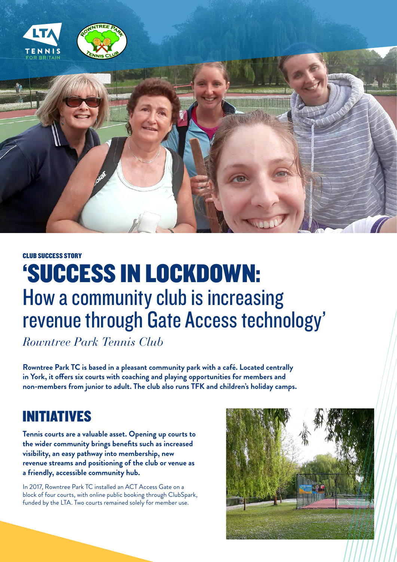

#### CLUB SUCCESS STORY

# 'SUCCESS IN LOCKDOWN: How a community club is increasing revenue through Gate Access technology'

*Rowntree Park Tennis Club*

**Rowntree Park TC is based in a pleasant community park with a café. Located centrally in York, it offers six courts with coaching and playing opportunities for members and non-members from junior to adult. The club also runs TFK and children's holiday camps.**

### INITIATIVES

**Tennis courts are a valuable asset. Opening up courts to the wider community brings benefits such as increased visibility, an easy pathway into membership, new revenue streams and positioning of the club or venue as a friendly, accessible community hub.** 

In 2017, Rowntree Park TC installed an ACT Access Gate on a block of four courts, with online public booking through ClubSpark, funded by the LTA. Two courts remained solely for member use.